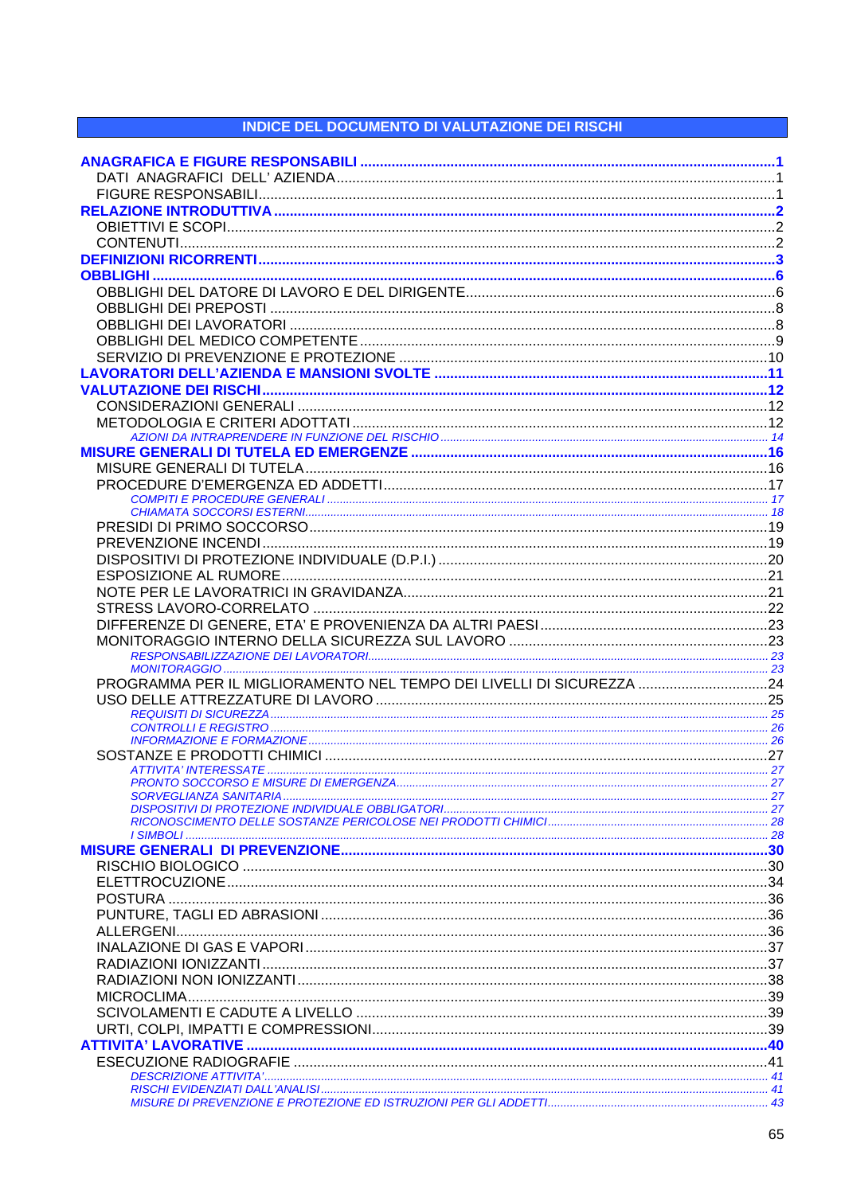## **INDICE DEL DOCUMENTO DI VALUTAZIONE DEI RISCHI**

| PROGRAMMA PER IL MIGLIORAMENTO NEL TEMPO DEI LIVELLI DI SICUREZZA 24 |  |
|----------------------------------------------------------------------|--|
|                                                                      |  |
|                                                                      |  |
|                                                                      |  |
|                                                                      |  |
|                                                                      |  |
|                                                                      |  |
|                                                                      |  |
|                                                                      |  |
|                                                                      |  |
|                                                                      |  |
|                                                                      |  |
|                                                                      |  |
|                                                                      |  |
|                                                                      |  |
|                                                                      |  |
|                                                                      |  |
|                                                                      |  |
|                                                                      |  |
|                                                                      |  |
|                                                                      |  |
|                                                                      |  |
|                                                                      |  |
|                                                                      |  |
|                                                                      |  |
|                                                                      |  |
|                                                                      |  |
|                                                                      |  |
|                                                                      |  |